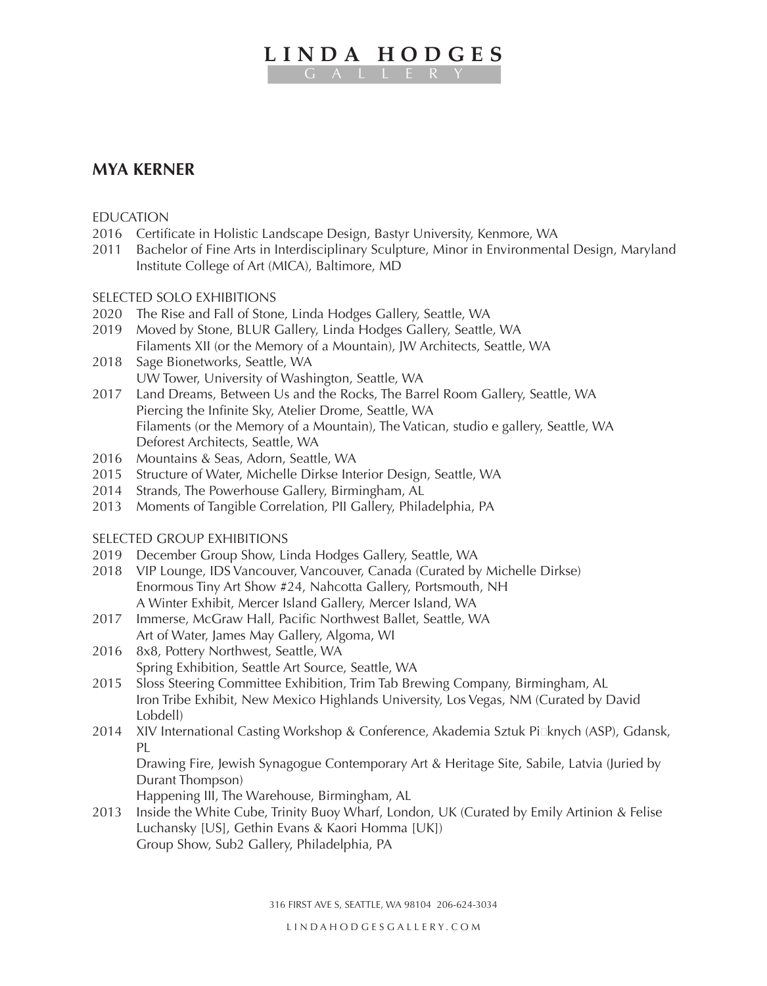# **LINDA HODGES**

## **MYA KERNER**

## *EDUCATION*

- 2016 Certificate in Holistic Landscape Design, Bastyr University, Kenmore, WA
- 2011 Bachelor of Fine Arts in Interdisciplinary Sculpture, Minor in Environmental Design, Maryland Institute College of Art (MICA), Baltimore, MD

## SELECTED SOLO EXHIBITIONS

- 2020 The Rise and Fall of Stone, Linda Hodges Gallery, Seattle, WA
- 2019 Moved by Stone, BLUR Gallery, Linda Hodges Gallery, Seattle, WA Filaments XII (or the Memory of a Mountain), JW Architects, Seattle, WA
- 2018 Sage Bionetworks, Seattle, WA UW Tower, University of Washington, Seattle, WA
- 2017 Land Dreams, Between Us and the Rocks, The Barrel Room Gallery, Seattle, WA Piercing the Infinite Sky, Atelier Drome, Seattle, WA Filaments (or the Memory of a Mountain), The Vatican, studio e gallery, Seattle, WA Deforest Architects, Seattle, WA
- 2016 Mountains & Seas, Adorn, Seattle, WA
- 2015 Structure of Water, Michelle Dirkse Interior Design, Seattle, WA
- 2014 Strands, The Powerhouse Gallery, Birmingham, AL
- 2013 Moments of Tangible Correlation, PII Gallery, Philadelphia, PA

#### SELECTED GROUP EXHIBITIONS

- 2019 December Group Show, Linda Hodges Gallery, Seattle, WA
- 2018 VIP Lounge, IDS Vancouver, Vancouver, Canada (Curated by Michelle Dirkse) Enormous Tiny Art Show #24, Nahcotta Gallery, Portsmouth, NH A Winter Exhibit, Mercer Island Gallery, Mercer Island, WA
- 2017 Immerse, McGraw Hall, Pacific Northwest Ballet, Seattle, WA Art of Water, James May Gallery, Algoma, WI
- 2016 8x8, Pottery Northwest, Seattle, WA Spring Exhibition, Seattle Art Source, Seattle, WA
- 2015 Sloss Steering Committee Exhibition, Trim Tab Brewing Company, Birmingham, AL Iron Tribe Exhibit, New Mexico Highlands University, Los Vegas, NM (Curated by David Lobdell)
- 2014 XIV International Casting Workshop & Conference, Akademia Sztuk Pieknych (ASP), Gdansk, PL

Drawing Fire, Jewish Synagogue Contemporary Art & Heritage Site, Sabile, Latvia (Juried by Durant Thompson)

Happening III, The Warehouse, Birmingham, AL

2013 Inside the White Cube, Trinity Buoy Wharf, London, UK (Curated by Emily Artinion & Felise Luchansky [US], Gethin Evans & Kaori Homma [UK]) Group Show, Sub2 Gallery, Philadelphia, PA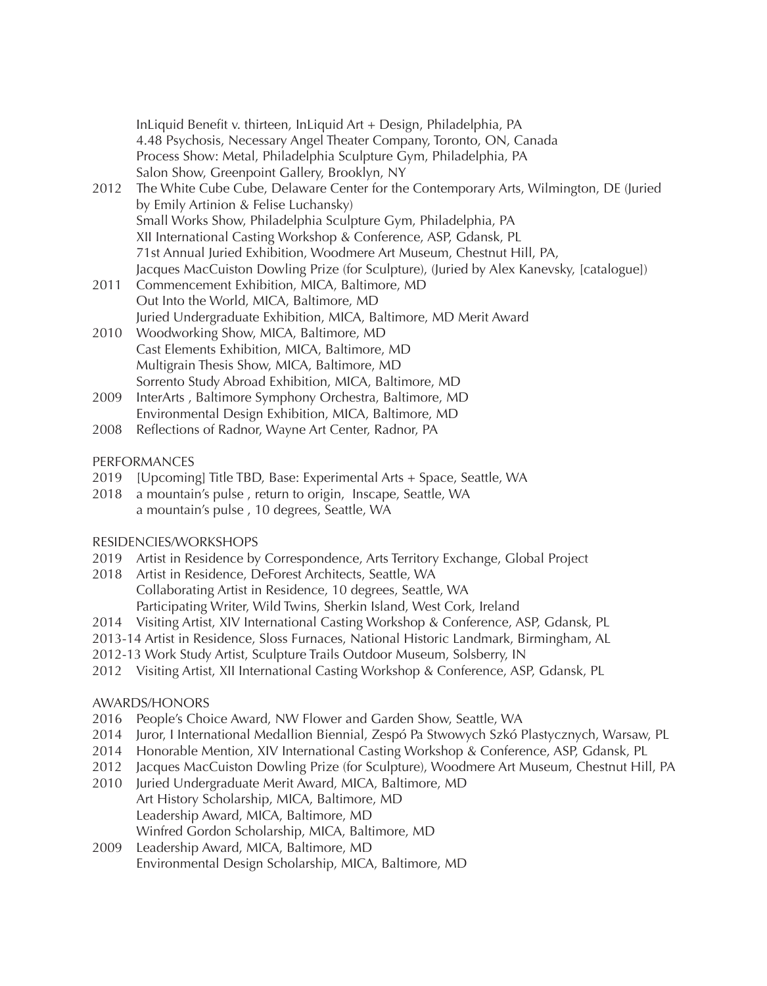InLiquid Benefit v. thirteen, InLiquid Art + Design, Philadelphia, PA 4.48 Psychosis, Necessary Angel Theater Company, Toronto, ON, Canada Process Show: Metal, Philadelphia Sculpture Gym, Philadelphia, PA Salon Show, Greenpoint Gallery, Brooklyn, NY

- 2012 The White Cube Cube, Delaware Center for the Contemporary Arts, Wilmington, DE (Juried by Emily Artinion & Felise Luchansky) Small Works Show, Philadelphia Sculpture Gym, Philadelphia, PA XII International Casting Workshop & Conference, ASP, Gdansk, PL 71st Annual Juried Exhibition, Woodmere Art Museum, Chestnut Hill, PA, Jacques MacCuiston Dowling Prize (for Sculpture), (Juried by Alex Kanevsky, [catalogue])
- 2011 Commencement Exhibition, MICA, Baltimore, MD Out Into the World, MICA, Baltimore, MD Juried Undergraduate Exhibition, MICA, Baltimore, MD Merit Award
- 2010 Woodworking Show, MICA, Baltimore, MD Cast Elements Exhibition, MICA, Baltimore, MD Multigrain Thesis Show, MICA, Baltimore, MD Sorrento Study Abroad Exhibition, MICA, Baltimore, MD
- 2009 InterArts , Baltimore Symphony Orchestra, Baltimore, MD Environmental Design Exhibition, MICA, Baltimore, MD
- 2008 Reflections of Radnor, Wayne Art Center, Radnor, PA

## PERFORMANCES

- 2019 [Upcoming] Title TBD, Base: Experimental Arts + Space, Seattle, WA
- 2018 a mountain's pulse , return to origin, Inscape, Seattle, WA a mountain's pulse , 10 degrees, Seattle, WA

## RESIDENCIES/WORKSHOPS

- 2019 Artist in Residence by Correspondence, Arts Territory Exchange, Global Project
- 2018 Artist in Residence, DeForest Architects, Seattle, WA Collaborating Artist in Residence, 10 degrees, Seattle, WA Participating Writer, Wild Twins, Sherkin Island, West Cork, Ireland
- 2014 Visiting Artist, XIV International Casting Workshop & Conference, ASP, Gdansk, PL
- 2013-14 Artist in Residence, Sloss Furnaces, National Historic Landmark, Birmingham, AL
- 2012-13 Work Study Artist, Sculpture Trails Outdoor Museum, Solsberry, IN
- 2012 Visiting Artist, XII International Casting Workshop & Conference, ASP, Gdansk, PL

## AWARDS/HONORS

- 2016 People's Choice Award, NW Flower and Garden Show, Seattle, WA
- 2014 Juror, I International Medallion Biennial, Zespó Pa Stwowych Szkó Plastycznych, Warsaw, PL
- 2014 Honorable Mention, XIV International Casting Workshop & Conference, ASP, Gdansk, PL
- 2012 Jacques MacCuiston Dowling Prize (for Sculpture), Woodmere Art Museum, Chestnut Hill, PA
- 2010 Juried Undergraduate Merit Award, MICA, Baltimore, MD Art History Scholarship, MICA, Baltimore, MD Leadership Award, MICA, Baltimore, MD Winfred Gordon Scholarship, MICA, Baltimore, MD
- 2009 Leadership Award, MICA, Baltimore, MD Environmental Design Scholarship, MICA, Baltimore, MD